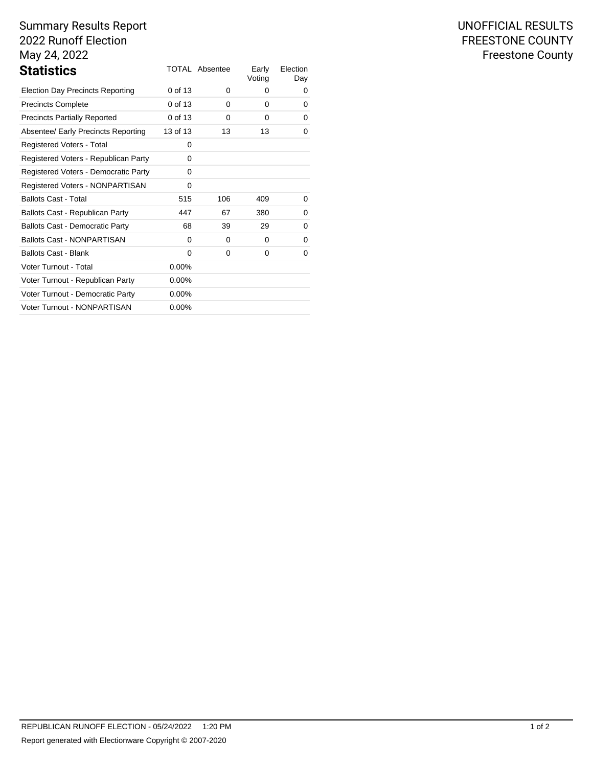# Summary Results Report 2022 Runoff Election May 24, 2022

| <b>Statistics</b>                       |          | <b>TOTAL Absentee</b> | Early<br>Voting | Election<br>Day |
|-----------------------------------------|----------|-----------------------|-----------------|-----------------|
| <b>Election Day Precincts Reporting</b> | 0 of 13  | 0                     | 0               | 0               |
| <b>Precincts Complete</b>               | 0 of 13  | $\Omega$              | 0               | 0               |
| <b>Precincts Partially Reported</b>     | 0 of 13  | 0                     | 0               | 0               |
| Absentee/ Early Precincts Reporting     | 13 of 13 | 13                    | 13              | 0               |
| Registered Voters - Total               | 0        |                       |                 |                 |
| Registered Voters - Republican Party    | 0        |                       |                 |                 |
| Registered Voters - Democratic Party    | 0        |                       |                 |                 |
| Registered Voters - NONPARTISAN         | 0        |                       |                 |                 |
| <b>Ballots Cast - Total</b>             | 515      | 106                   | 409             | 0               |
| Ballots Cast - Republican Party         | 447      | 67                    | 380             | 0               |
| <b>Ballots Cast - Democratic Party</b>  | 68       | 39                    | 29              | 0               |
| <b>Ballots Cast - NONPARTISAN</b>       | $\Omega$ | 0                     | 0               | 0               |
| <b>Ballots Cast - Blank</b>             | 0        | 0                     | 0               | 0               |
| Voter Turnout - Total                   | $0.00\%$ |                       |                 |                 |
| Voter Turnout - Republican Party        | $0.00\%$ |                       |                 |                 |
| Voter Turnout - Democratic Party        | $0.00\%$ |                       |                 |                 |
| Voter Turnout - NONPARTISAN             | $0.00\%$ |                       |                 |                 |